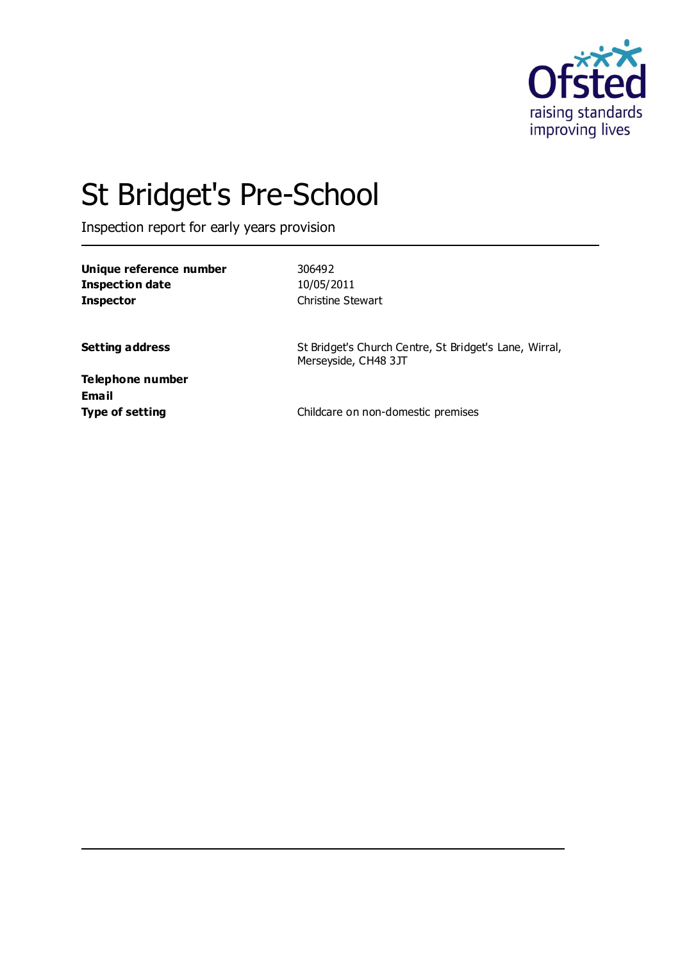

# St Bridget's Pre-School

Inspection report for early years provision

**Unique reference number** 306492 **Inspection date** 10/05/2011 **Inspector** Christine Stewart

**Setting address** St Bridget's Church Centre, St Bridget's Lane, Wirral, Merseyside, CH48 3JT

**Telephone number Email**

**Type of setting** Type of setting **Childcare on non-domestic premises**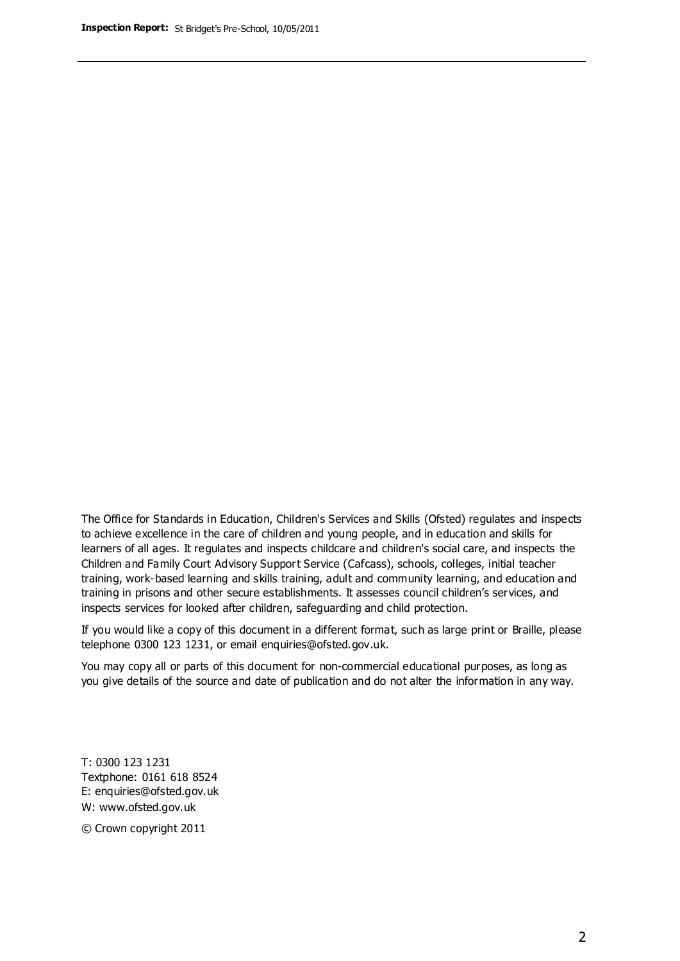The Office for Standards in Education, Children's Services and Skills (Ofsted) regulates and inspects to achieve excellence in the care of children and young people, and in education and skills for learners of all ages. It regulates and inspects childcare and children's social care, and inspects the Children and Family Court Advisory Support Service (Cafcass), schools, colleges, initial teacher training, work-based learning and skills training, adult and community learning, and education and training in prisons and other secure establishments. It assesses council children's services, and inspects services for looked after children, safeguarding and child protection.

If you would like a copy of this document in a different format, such as large print or Braille, please telephone 0300 123 1231, or email enquiries@ofsted.gov.uk.

You may copy all or parts of this document for non-commercial educational purposes, as long as you give details of the source and date of publication and do not alter the information in any way.

T: 0300 123 1231 Textphone: 0161 618 8524 E: enquiries@ofsted.gov.uk W: [www.ofsted.gov.uk](http://www.ofsted.gov.uk/)

© Crown copyright 2011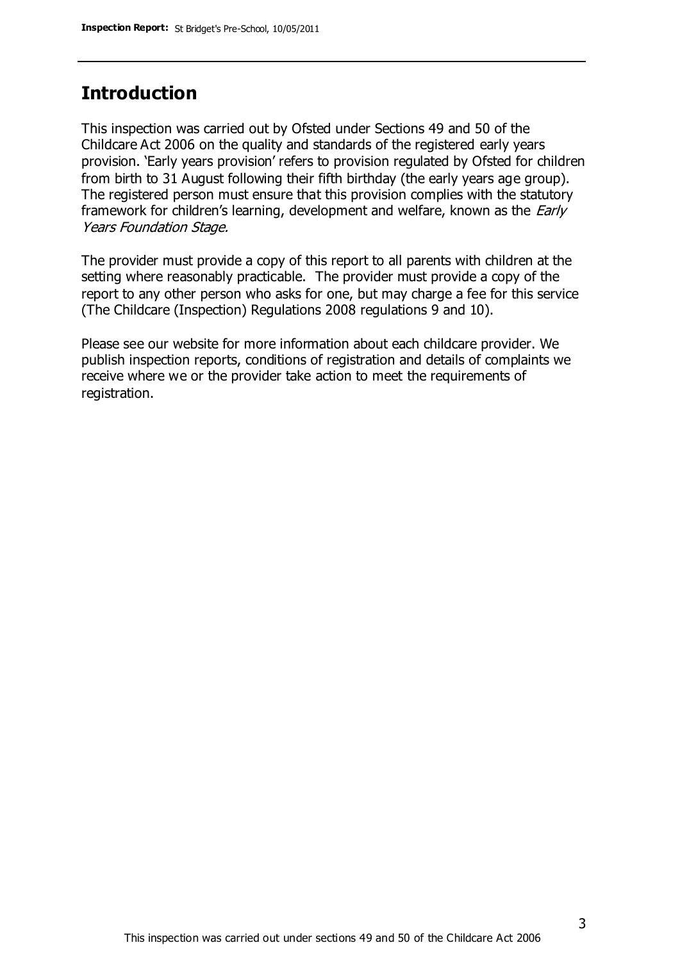### **Introduction**

This inspection was carried out by Ofsted under Sections 49 and 50 of the Childcare Act 2006 on the quality and standards of the registered early years provision. 'Early years provision' refers to provision regulated by Ofsted for children from birth to 31 August following their fifth birthday (the early years age group). The registered person must ensure that this provision complies with the statutory framework for children's learning, development and welfare, known as the *Early* Years Foundation Stage.

The provider must provide a copy of this report to all parents with children at the setting where reasonably practicable. The provider must provide a copy of the report to any other person who asks for one, but may charge a fee for this service (The Childcare (Inspection) Regulations 2008 regulations 9 and 10).

Please see our website for more information about each childcare provider. We publish inspection reports, conditions of registration and details of complaints we receive where we or the provider take action to meet the requirements of registration.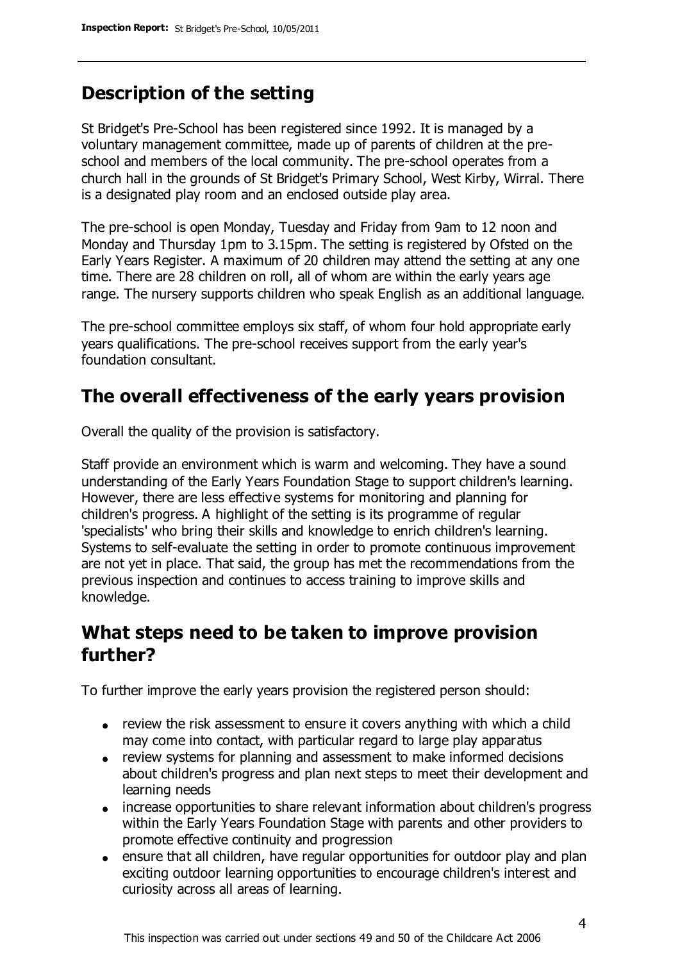# **Description of the setting**

St Bridget's Pre-School has been registered since 1992. It is managed by a voluntary management committee, made up of parents of children at the preschool and members of the local community. The pre-school operates from a church hall in the grounds of St Bridget's Primary School, West Kirby, Wirral. There is a designated play room and an enclosed outside play area.

The pre-school is open Monday, Tuesday and Friday from 9am to 12 noon and Monday and Thursday 1pm to 3.15pm. The setting is registered by Ofsted on the Early Years Register. A maximum of 20 children may attend the setting at any one time. There are 28 children on roll, all of whom are within the early years age range. The nursery supports children who speak English as an additional language.

The pre-school committee employs six staff, of whom four hold appropriate early years qualifications. The pre-school receives support from the early year's foundation consultant.

# **The overall effectiveness of the early years provision**

Overall the quality of the provision is satisfactory.

Staff provide an environment which is warm and welcoming. They have a sound understanding of the Early Years Foundation Stage to support children's learning. However, there are less effective systems for monitoring and planning for children's progress. A highlight of the setting is its programme of regular 'specialists' who bring their skills and knowledge to enrich children's learning. Systems to self-evaluate the setting in order to promote continuous improvement are not yet in place. That said, the group has met the recommendations from the previous inspection and continues to access training to improve skills and knowledge.

### **What steps need to be taken to improve provision further?**

To further improve the early years provision the registered person should:

- review the risk assessment to ensure it covers anything with which a child may come into contact, with particular regard to large play apparatus
- review systems for planning and assessment to make informed decisions about children's progress and plan next steps to meet their development and learning needs
- increase opportunities to share relevant information about children's progress within the Early Years Foundation Stage with parents and other providers to promote effective continuity and progression
- ensure that all children, have regular opportunities for outdoor play and plan exciting outdoor learning opportunities to encourage children's interest and curiosity across all areas of learning.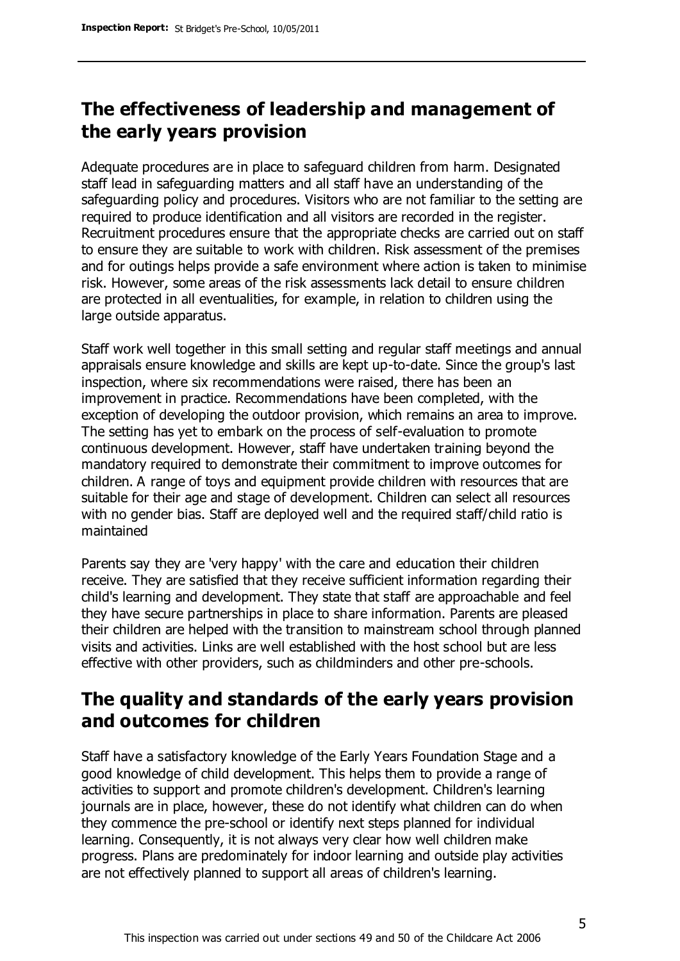# **The effectiveness of leadership and management of the early years provision**

Adequate procedures are in place to safeguard children from harm. Designated staff lead in safeguarding matters and all staff have an understanding of the safeguarding policy and procedures. Visitors who are not familiar to the setting are required to produce identification and all visitors are recorded in the register. Recruitment procedures ensure that the appropriate checks are carried out on staff to ensure they are suitable to work with children. Risk assessment of the premises and for outings helps provide a safe environment where action is taken to minimise risk. However, some areas of the risk assessments lack detail to ensure children are protected in all eventualities, for example, in relation to children using the large outside apparatus.

Staff work well together in this small setting and regular staff meetings and annual appraisals ensure knowledge and skills are kept up-to-date. Since the group's last inspection, where six recommendations were raised, there has been an improvement in practice. Recommendations have been completed, with the exception of developing the outdoor provision, which remains an area to improve. The setting has yet to embark on the process of self-evaluation to promote continuous development. However, staff have undertaken training beyond the mandatory required to demonstrate their commitment to improve outcomes for children. A range of toys and equipment provide children with resources that are suitable for their age and stage of development. Children can select all resources with no gender bias. Staff are deployed well and the required staff/child ratio is maintained

Parents say they are 'very happy' with the care and education their children receive. They are satisfied that they receive sufficient information regarding their child's learning and development. They state that staff are approachable and feel they have secure partnerships in place to share information. Parents are pleased their children are helped with the transition to mainstream school through planned visits and activities. Links are well established with the host school but are less effective with other providers, such as childminders and other pre-schools.

### **The quality and standards of the early years provision and outcomes for children**

Staff have a satisfactory knowledge of the Early Years Foundation Stage and a good knowledge of child development. This helps them to provide a range of activities to support and promote children's development. Children's learning journals are in place, however, these do not identify what children can do when they commence the pre-school or identify next steps planned for individual learning. Consequently, it is not always very clear how well children make progress. Plans are predominately for indoor learning and outside play activities are not effectively planned to support all areas of children's learning.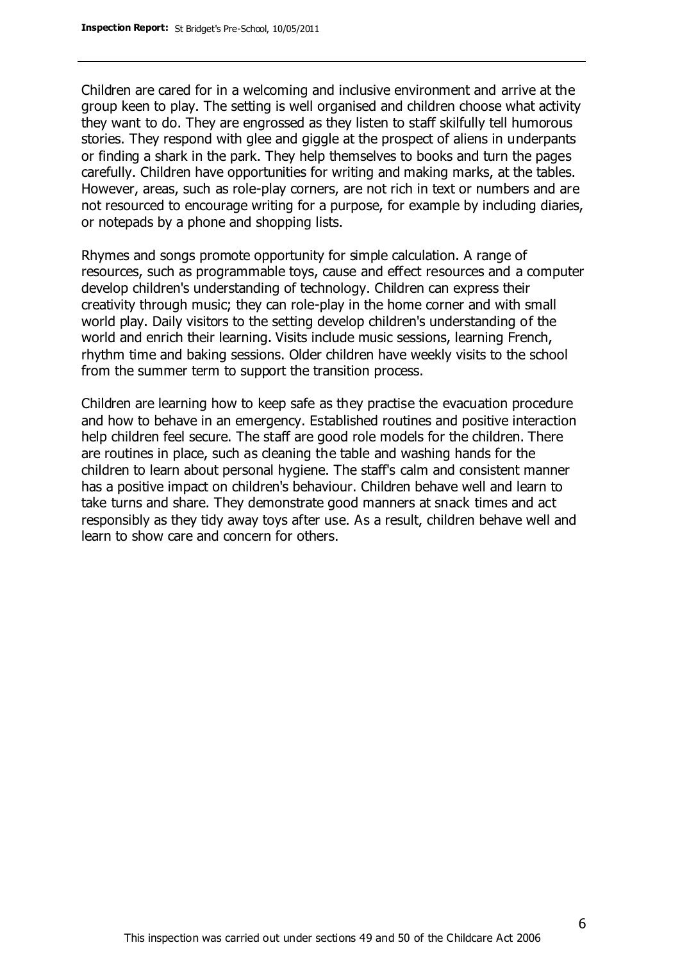Children are cared for in a welcoming and inclusive environment and arrive at the group keen to play. The setting is well organised and children choose what activity they want to do. They are engrossed as they listen to staff skilfully tell humorous stories. They respond with glee and giggle at the prospect of aliens in underpants or finding a shark in the park. They help themselves to books and turn the pages carefully. Children have opportunities for writing and making marks, at the tables. However, areas, such as role-play corners, are not rich in text or numbers and are not resourced to encourage writing for a purpose, for example by including diaries, or notepads by a phone and shopping lists.

Rhymes and songs promote opportunity for simple calculation. A range of resources, such as programmable toys, cause and effect resources and a computer develop children's understanding of technology. Children can express their creativity through music; they can role-play in the home corner and with small world play. Daily visitors to the setting develop children's understanding of the world and enrich their learning. Visits include music sessions, learning French, rhythm time and baking sessions. Older children have weekly visits to the school from the summer term to support the transition process.

Children are learning how to keep safe as they practise the evacuation procedure and how to behave in an emergency. Established routines and positive interaction help children feel secure. The staff are good role models for the children. There are routines in place, such as cleaning the table and washing hands for the children to learn about personal hygiene. The staff's calm and consistent manner has a positive impact on children's behaviour. Children behave well and learn to take turns and share. They demonstrate good manners at snack times and act responsibly as they tidy away toys after use. As a result, children behave well and learn to show care and concern for others.